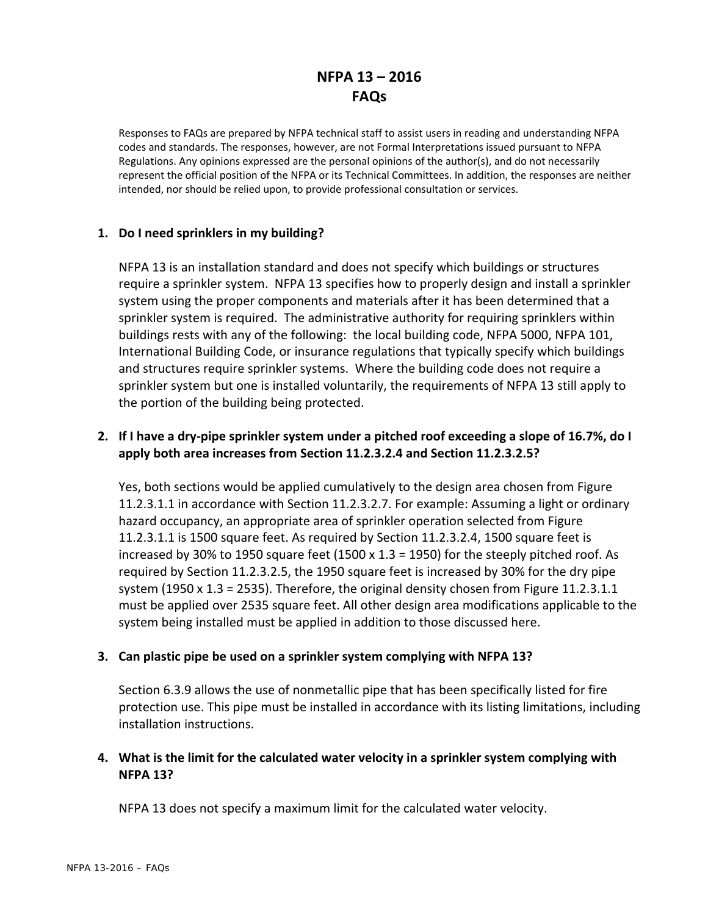# **NFPA 13 – 2016 FAQs**

Responses to FAQs are prepared by NFPA technical staff to assist users in reading and understanding NFPA codes and standards. The responses, however, are not Formal Interpretations issued pursuant to NFPA Regulations. Any opinions expressed are the personal opinions of the author(s), and do not necessarily represent the official position of the NFPA or its Technical Committees. In addition, the responses are neither intended, nor should be relied upon, to provide professional consultation or services.

# **1. Do I need sprinklers in my building?**

NFPA 13 is an installation standard and does not specify which buildings or structures require a sprinkler system. NFPA 13 specifies how to properly design and install a sprinkler system using the proper components and materials after it has been determined that a sprinkler system is required. The administrative authority for requiring sprinklers within buildings rests with any of the following: the local building code, NFPA 5000, NFPA 101, International Building Code, or insurance regulations that typically specify which buildings and structures require sprinkler systems. Where the building code does not require a sprinkler system but one is installed voluntarily, the requirements of NFPA 13 still apply to the portion of the building being protected.

# 2. If I have a dry-pipe sprinkler system under a pitched roof exceeding a slope of 16.7%, do I **apply both area increases from Section 11.2.3.2.4 and Section 11.2.3.2.5?**

Yes, both sections would be applied cumulatively to the design area chosen from Figure 11.2.3.1.1 in accordance with Section 11.2.3.2.7. For example: Assuming a light or ordinary hazard occupancy, an appropriate area of sprinkler operation selected from Figure 11.2.3.1.1 is 1500 square feet. As required by Section 11.2.3.2.4, 1500 square feet is increased by 30% to 1950 square feet (1500 x 1.3 = 1950) for the steeply pitched roof. As required by Section 11.2.3.2.5, the 1950 square feet is increased by 30% for the dry pipe system (1950 x 1.3 = 2535). Therefore, the original density chosen from Figure 11.2.3.1.1 must be applied over 2535 square feet. All other design area modifications applicable to the system being installed must be applied in addition to those discussed here.

# **3. Can plastic pipe be used on a sprinkler system complying with NFPA 13?**

Section 6.3.9 allows the use of nonmetallic pipe that has been specifically listed for fire protection use. This pipe must be installed in accordance with its listing limitations, including installation instructions.

# **4. What is the limit for the calculated water velocity in a sprinkler system complying with NFPA 13?**

NFPA 13 does not specify a maximum limit for the calculated water velocity.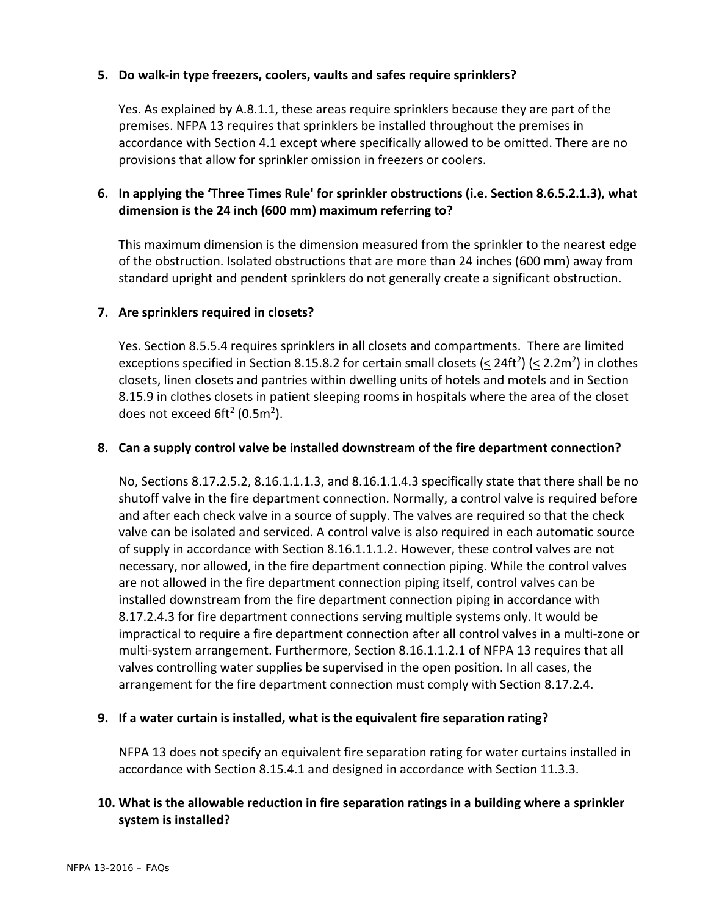#### **5. Do walk‐in type freezers, coolers, vaults and safes require sprinklers?**

Yes. As explained by A.8.1.1, these areas require sprinklers because they are part of the premises. NFPA 13 requires that sprinklers be installed throughout the premises in accordance with Section 4.1 except where specifically allowed to be omitted. There are no provisions that allow for sprinkler omission in freezers or coolers.

# **6. In applying the 'Three Times Rule' for sprinkler obstructions (i.e. Section 8.6.5.2.1.3), what dimension is the 24 inch (600 mm) maximum referring to?**

This maximum dimension is the dimension measured from the sprinkler to the nearest edge of the obstruction. Isolated obstructions that are more than 24 inches (600 mm) away from standard upright and pendent sprinklers do not generally create a significant obstruction.

#### **7. Are sprinklers required in closets?**

Yes. Section 8.5.5.4 requires sprinklers in all closets and compartments. There are limited exceptions specified in Section 8.15.8.2 for certain small closets ( $\leq$  24ft<sup>2</sup>) ( $\leq$  2.2m<sup>2</sup>) in clothes closets, linen closets and pantries within dwelling units of hotels and motels and in Section 8.15.9 in clothes closets in patient sleeping rooms in hospitals where the area of the closet does not exceed 6ft<sup>2</sup> (0.5m<sup>2</sup>).

#### **8. Can a supply control valve be installed downstream of the fire department connection?**

No, Sections 8.17.2.5.2, 8.16.1.1.1.3, and 8.16.1.1.4.3 specifically state that there shall be no shutoff valve in the fire department connection. Normally, a control valve is required before and after each check valve in a source of supply. The valves are required so that the check valve can be isolated and serviced. A control valve is also required in each automatic source of supply in accordance with Section 8.16.1.1.1.2. However, these control valves are not necessary, nor allowed, in the fire department connection piping. While the control valves are not allowed in the fire department connection piping itself, control valves can be installed downstream from the fire department connection piping in accordance with 8.17.2.4.3 for fire department connections serving multiple systems only. It would be impractical to require a fire department connection after all control valves in a multi‐zone or multi‐system arrangement. Furthermore, Section 8.16.1.1.2.1 of NFPA 13 requires that all valves controlling water supplies be supervised in the open position. In all cases, the arrangement for the fire department connection must comply with Section 8.17.2.4.

#### **9. If a water curtain is installed, what is the equivalent fire separation rating?**

NFPA 13 does not specify an equivalent fire separation rating for water curtains installed in accordance with Section 8.15.4.1 and designed in accordance with Section 11.3.3.

# **10. What is the allowable reduction in fire separation ratings in a building where a sprinkler system is installed?**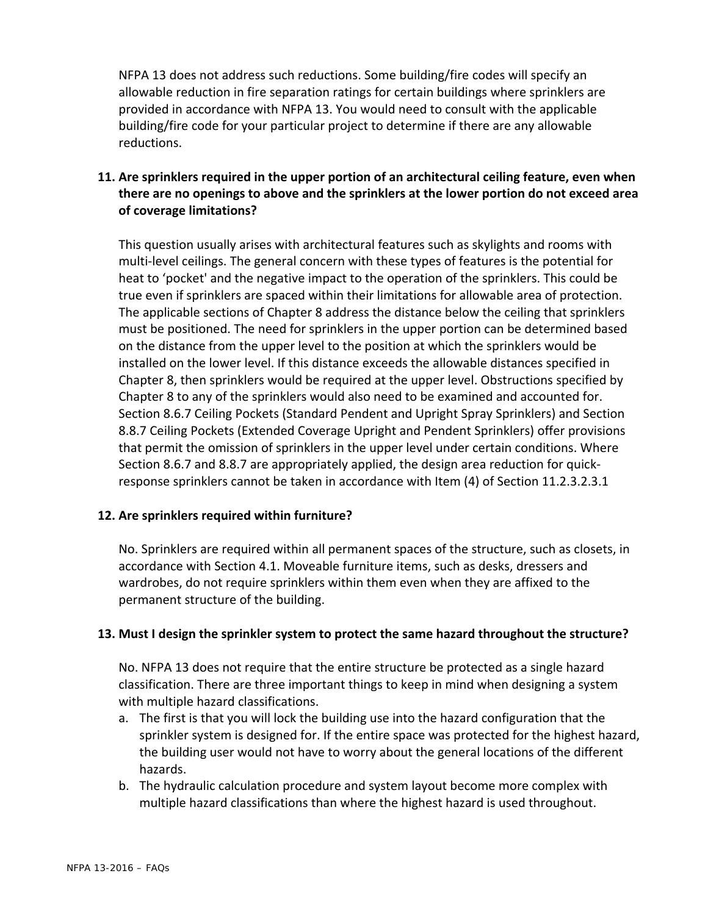NFPA 13 does not address such reductions. Some building/fire codes will specify an allowable reduction in fire separation ratings for certain buildings where sprinklers are provided in accordance with NFPA 13. You would need to consult with the applicable building/fire code for your particular project to determine if there are any allowable reductions.

# **11. Are sprinklers required in the upper portion of an architectural ceiling feature, even when there are no openings to above and the sprinklers at the lower portion do not exceed area of coverage limitations?**

This question usually arises with architectural features such as skylights and rooms with multi‐level ceilings. The general concern with these types of features is the potential for heat to 'pocket' and the negative impact to the operation of the sprinklers. This could be true even if sprinklers are spaced within their limitations for allowable area of protection. The applicable sections of Chapter 8 address the distance below the ceiling that sprinklers must be positioned. The need for sprinklers in the upper portion can be determined based on the distance from the upper level to the position at which the sprinklers would be installed on the lower level. If this distance exceeds the allowable distances specified in Chapter 8, then sprinklers would be required at the upper level. Obstructions specified by Chapter 8 to any of the sprinklers would also need to be examined and accounted for. Section 8.6.7 Ceiling Pockets (Standard Pendent and Upright Spray Sprinklers) and Section 8.8.7 Ceiling Pockets (Extended Coverage Upright and Pendent Sprinklers) offer provisions that permit the omission of sprinklers in the upper level under certain conditions. Where Section 8.6.7 and 8.8.7 are appropriately applied, the design area reduction for quick‐ response sprinklers cannot be taken in accordance with Item (4) of Section 11.2.3.2.3.1

# **12. Are sprinklers required within furniture?**

No. Sprinklers are required within all permanent spaces of the structure, such as closets, in accordance with Section 4.1. Moveable furniture items, such as desks, dressers and wardrobes, do not require sprinklers within them even when they are affixed to the permanent structure of the building.

#### **13. Must I design the sprinkler system to protect the same hazard throughout the structure?**

No. NFPA 13 does not require that the entire structure be protected as a single hazard classification. There are three important things to keep in mind when designing a system with multiple hazard classifications.

- a. The first is that you will lock the building use into the hazard configuration that the sprinkler system is designed for. If the entire space was protected for the highest hazard, the building user would not have to worry about the general locations of the different hazards.
- b. The hydraulic calculation procedure and system layout become more complex with multiple hazard classifications than where the highest hazard is used throughout.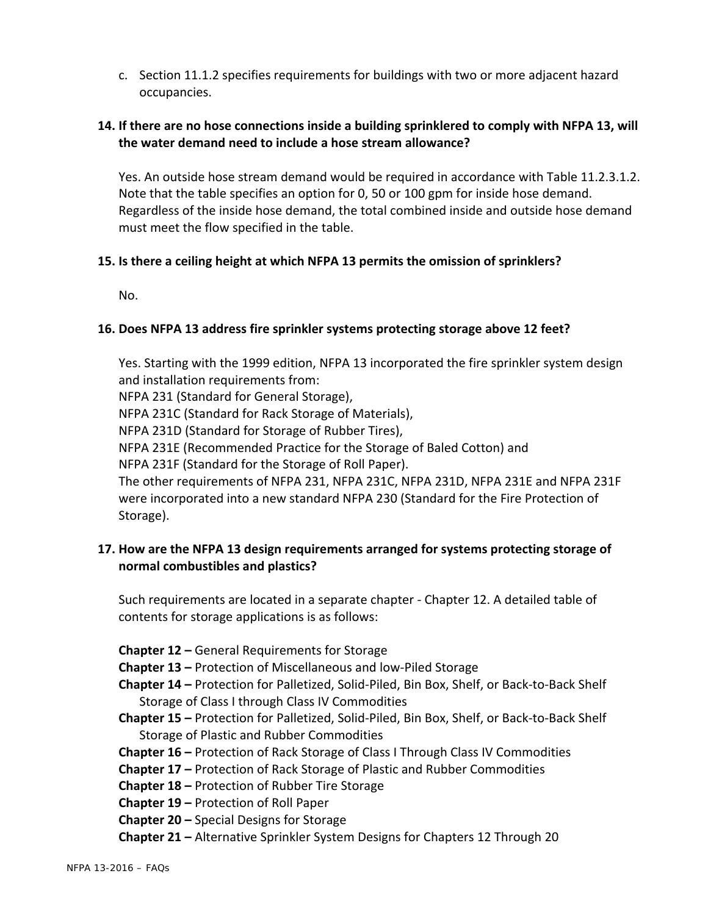c. Section 11.1.2 specifies requirements for buildings with two or more adjacent hazard occupancies.

#### **14. If there are no hose connections inside a building sprinklered to comply with NFPA 13, will the water demand need to include a hose stream allowance?**

Yes. An outside hose stream demand would be required in accordance with Table 11.2.3.1.2. Note that the table specifies an option for 0, 50 or 100 gpm for inside hose demand. Regardless of the inside hose demand, the total combined inside and outside hose demand must meet the flow specified in the table.

#### **15. Is there a ceiling height at which NFPA 13 permits the omission of sprinklers?**

No.

# **16. Does NFPA 13 address fire sprinkler systems protecting storage above 12 feet?**

Yes. Starting with the 1999 edition, NFPA 13 incorporated the fire sprinkler system design and installation requirements from:

NFPA 231 (Standard for General Storage),

NFPA 231C (Standard for Rack Storage of Materials),

NFPA 231D (Standard for Storage of Rubber Tires),

NFPA 231E (Recommended Practice for the Storage of Baled Cotton) and

NFPA 231F (Standard for the Storage of Roll Paper).

The other requirements of NFPA 231, NFPA 231C, NFPA 231D, NFPA 231E and NFPA 231F were incorporated into a new standard NFPA 230 (Standard for the Fire Protection of Storage).

#### **17. How are the NFPA 13 design requirements arranged for systems protecting storage of normal combustibles and plastics?**

Such requirements are located in a separate chapter ‐ Chapter 12. A detailed table of contents for storage applications is as follows:

**Chapter 12 –** General Requirements for Storage

**Chapter 13 –** Protection of Miscellaneous and low‐Piled Storage

**Chapter 14 –** Protection for Palletized, Solid‐Piled, Bin Box, Shelf, or Back‐to‐Back Shelf Storage of Class I through Class IV Commodities

**Chapter 15 –** Protection for Palletized, Solid‐Piled, Bin Box, Shelf, or Back‐to‐Back Shelf Storage of Plastic and Rubber Commodities

**Chapter 16 –** Protection of Rack Storage of Class I Through Class IV Commodities

- **Chapter 17 –** Protection of Rack Storage of Plastic and Rubber Commodities
- **Chapter 18 –** Protection of Rubber Tire Storage
- **Chapter 19 –** Protection of Roll Paper

**Chapter 20 –** Special Designs for Storage

**Chapter 21 –** Alternative Sprinkler System Designs for Chapters 12 Through 20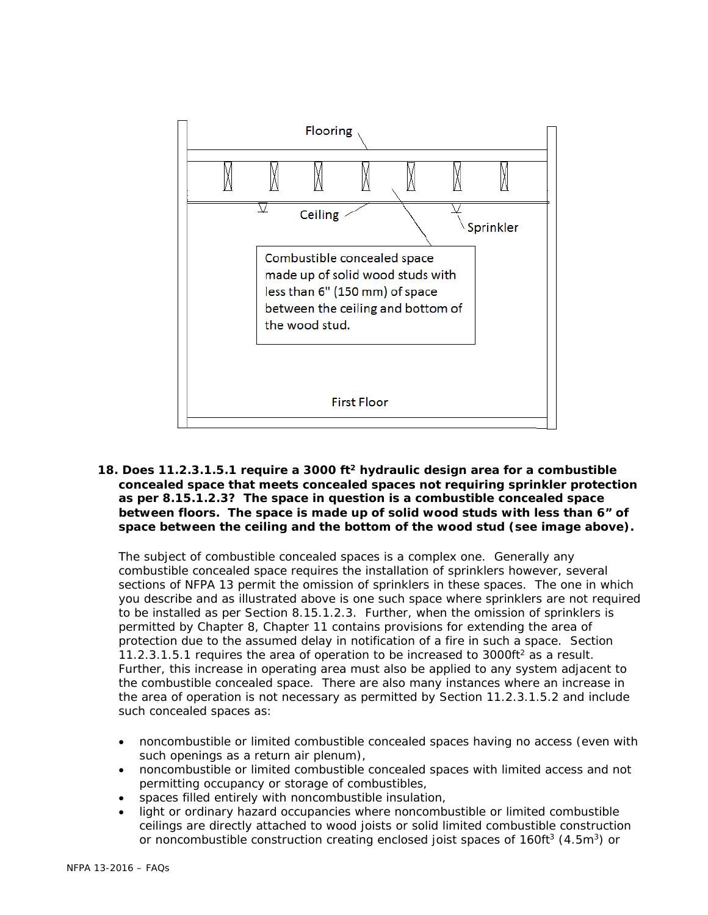

**18. Does 11.2.3.1.5.1 require a 3000 ft2 hydraulic design area for a combustible concealed space that meets concealed spaces not requiring sprinkler protection as per 8.15.1.2.3? The space in question is a combustible concealed space between floors. The space is made up of solid wood studs with less than 6" of space between the ceiling and the bottom of the wood stud (see image above).** 

 The subject of combustible concealed spaces is a complex one. Generally any combustible concealed space requires the installation of sprinklers however, several sections of NFPA 13 permit the omission of sprinklers in these spaces. The one in which you describe and as illustrated above is one such space where sprinklers are not required to be installed as per Section 8.15.1.2.3. Further, when the omission of sprinklers is permitted by Chapter 8, Chapter 11 contains provisions for extending the area of protection due to the assumed delay in notification of a fire in such a space. Section 11.2.3.1.5.1 requires the area of operation to be increased to 3000ft<sup>2</sup> as a result. Further, this increase in operating area must also be applied to any system adjacent to the combustible concealed space. There are also many instances where an increase in the area of operation is not necessary as permitted by Section 11.2.3.1.5.2 and include such concealed spaces as:

- noncombustible or limited combustible concealed spaces having no access (even with such openings as a return air plenum),
- noncombustible or limited combustible concealed spaces with limited access and not permitting occupancy or storage of combustibles,
- spaces filled entirely with noncombustible insulation,
- light or ordinary hazard occupancies where noncombustible or limited combustible ceilings are directly attached to wood joists or solid limited combustible construction or noncombustible construction creating enclosed joist spaces of  $160ft^3$  (4.5m<sup>3</sup>) or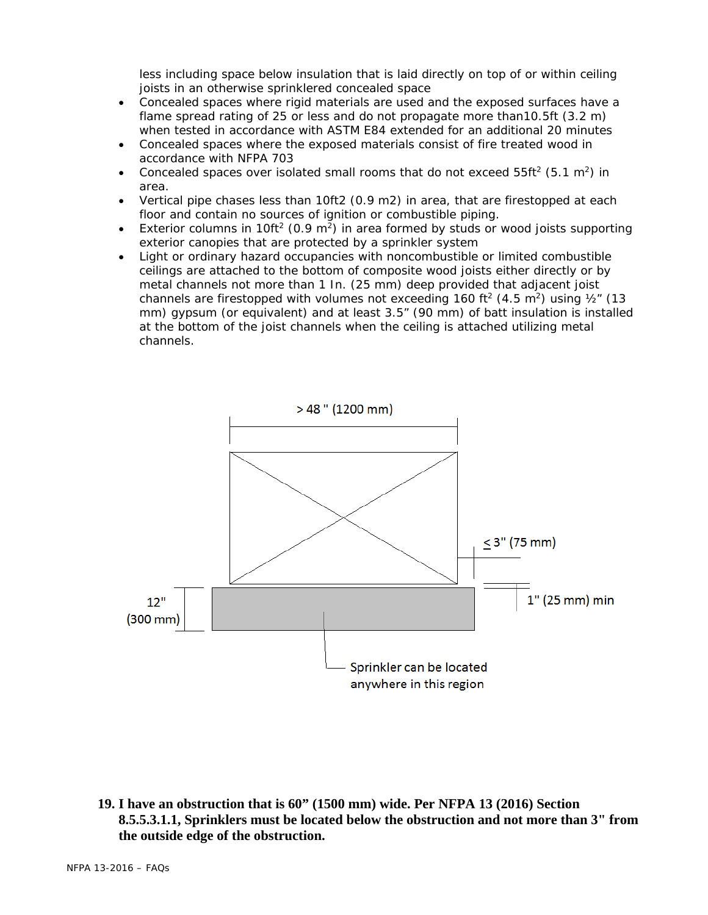less including space below insulation that is laid directly on top of or within ceiling joists in an otherwise sprinklered concealed space

- Concealed spaces where rigid materials are used and the exposed surfaces have a flame spread rating of 25 or less and do not propagate more than10.5ft (3.2 m) when tested in accordance with ASTM E84 extended for an additional 20 minutes
- Concealed spaces where the exposed materials consist of fire treated wood in accordance with NFPA 703
- Concealed spaces over isolated small rooms that do not exceed  $55ff^2$  (5.1 m<sup>2</sup>) in area.
- Vertical pipe chases less than 10ft2 (0.9 m2) in area, that are firestopped at each floor and contain no sources of ignition or combustible piping.
- Exterior columns in 10ft<sup>2</sup> (0.9 m<sup>2</sup>) in area formed by studs or wood joists supporting exterior canopies that are protected by a sprinkler system
- Light or ordinary hazard occupancies with noncombustible or limited combustible ceilings are attached to the bottom of composite wood joists either directly or by metal channels not more than 1 In. (25 mm) deep provided that adjacent joist channels are firestopped with volumes not exceeding 160 ft<sup>2</sup> (4.5 m<sup>2</sup>) using  $\frac{1}{2}$  (13 mm) gypsum (or equivalent) and at least 3.5" (90 mm) of batt insulation is installed at the bottom of the joist channels when the ceiling is attached utilizing metal channels.



**19. I have an obstruction that is 60" (1500 mm) wide. Per NFPA 13 (2016) Section 8.5.5.3.1.1, Sprinklers must be located below the obstruction and not more than 3" from the outside edge of the obstruction.**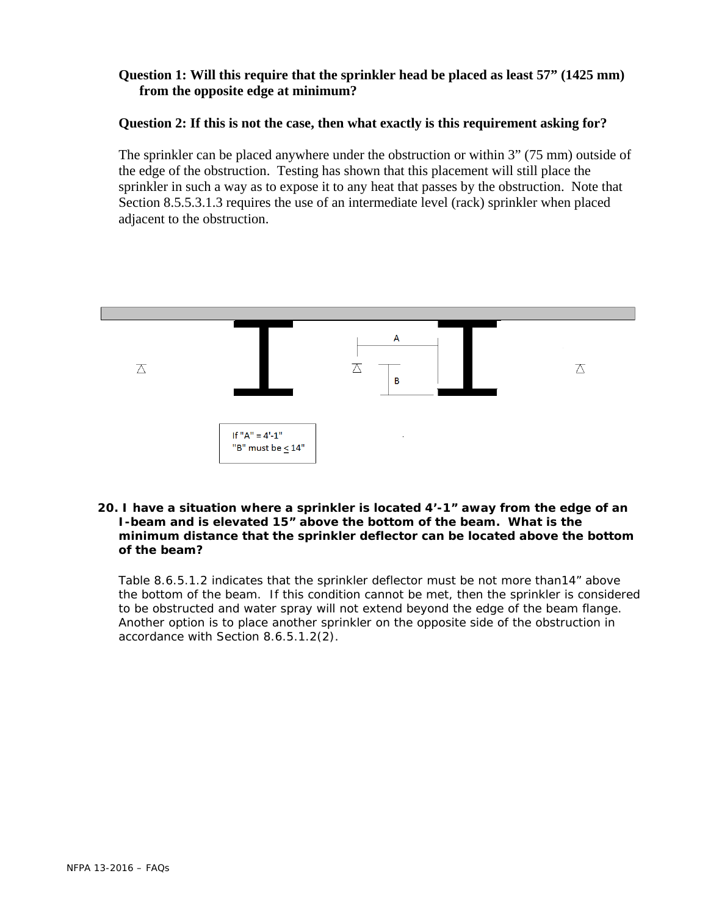#### **Question 1: Will this require that the sprinkler head be placed as least 57" (1425 mm) from the opposite edge at minimum?**

#### **Question 2: If this is not the case, then what exactly is this requirement asking for?**

 The sprinkler can be placed anywhere under the obstruction or within 3" (75 mm) outside of the edge of the obstruction. Testing has shown that this placement will still place the sprinkler in such a way as to expose it to any heat that passes by the obstruction. Note that Section 8.5.5.3.1.3 requires the use of an intermediate level (rack) sprinkler when placed adjacent to the obstruction.



#### **20. I have a situation where a sprinkler is located 4'-1" away from the edge of an I-beam and is elevated 15" above the bottom of the beam. What is the minimum distance that the sprinkler deflector can be located above the bottom of the beam?**

 Table 8.6.5.1.2 indicates that the sprinkler deflector must be not more than14" above the bottom of the beam. If this condition cannot be met, then the sprinkler is considered to be obstructed and water spray will not extend beyond the edge of the beam flange. Another option is to place another sprinkler on the opposite side of the obstruction in accordance with Section 8.6.5.1.2(2).